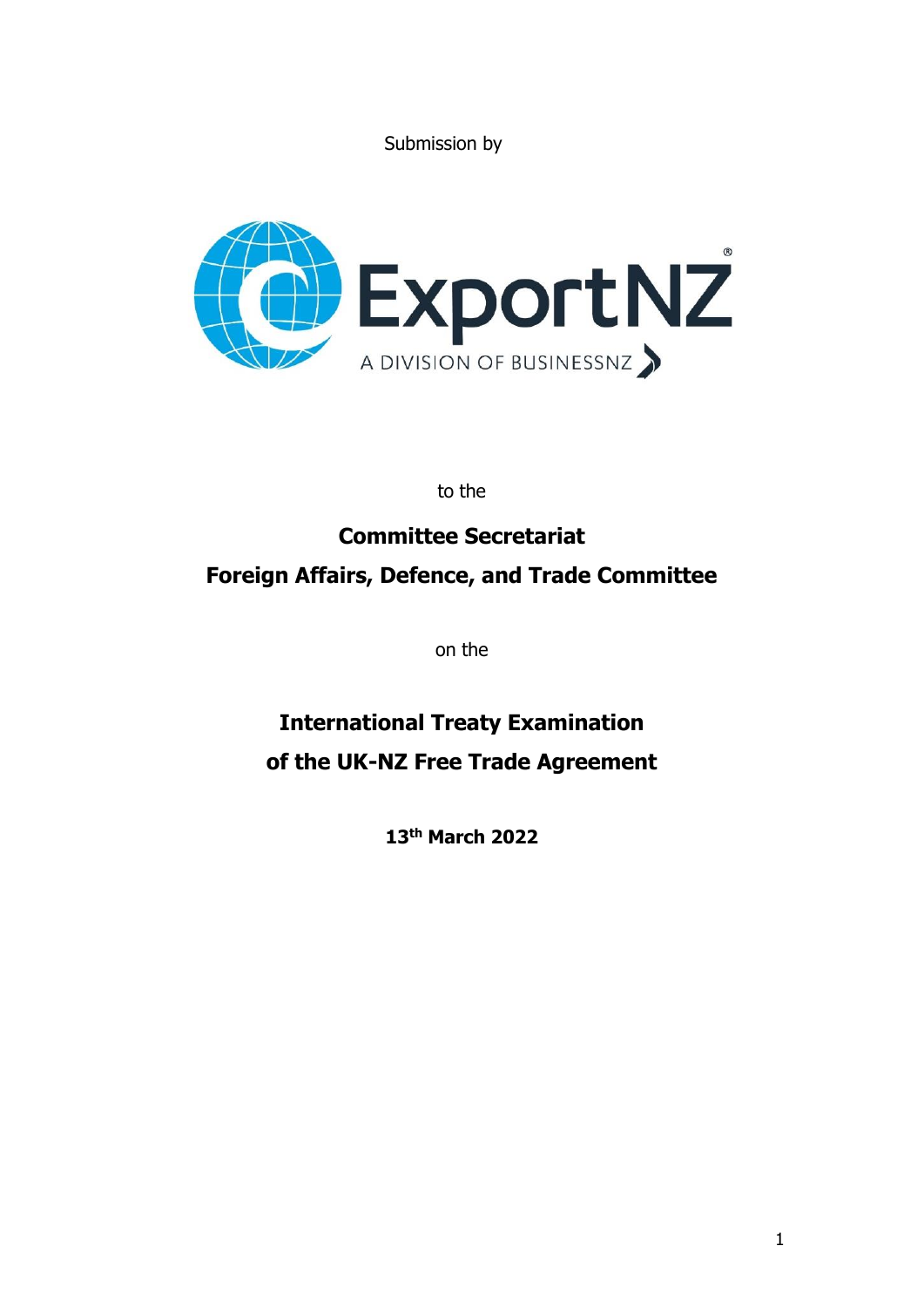Submission by



to the

# **Committee Secretariat Foreign Affairs, Defence, and Trade Committee**

on the

# **International Treaty Examination of the UK-NZ Free Trade Agreement**

**13th March 2022**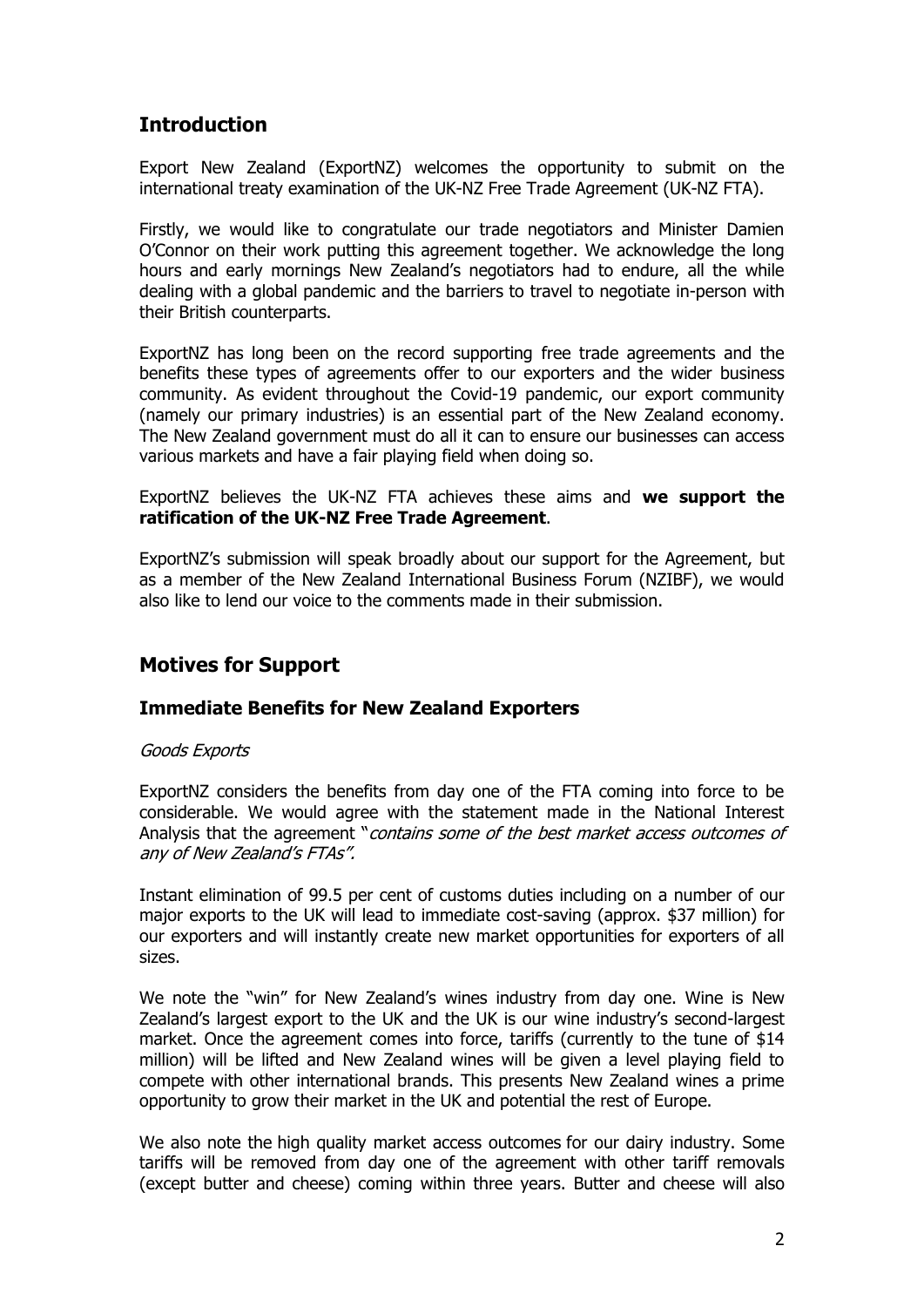# **Introduction**

Export New Zealand (ExportNZ) welcomes the opportunity to submit on the international treaty examination of the UK-NZ Free Trade Agreement (UK-NZ FTA).

Firstly, we would like to congratulate our trade negotiators and Minister Damien O'Connor on their work putting this agreement together. We acknowledge the long hours and early mornings New Zealand's negotiators had to endure, all the while dealing with a global pandemic and the barriers to travel to negotiate in-person with their British counterparts.

ExportNZ has long been on the record supporting free trade agreements and the benefits these types of agreements offer to our exporters and the wider business community. As evident throughout the Covid-19 pandemic, our export community (namely our primary industries) is an essential part of the New Zealand economy. The New Zealand government must do all it can to ensure our businesses can access various markets and have a fair playing field when doing so.

ExportNZ believes the UK-NZ FTA achieves these aims and **we support the ratification of the UK-NZ Free Trade Agreement**.

ExportNZ's submission will speak broadly about our support for the Agreement, but as a member of the New Zealand International Business Forum (NZIBF), we would also like to lend our voice to the comments made in their submission.

# **Motives for Support**

# **Immediate Benefits for New Zealand Exporters**

#### Goods Exports

ExportNZ considers the benefits from day one of the FTA coming into force to be considerable. We would agree with the statement made in the National Interest Analysis that the agreement "contains some of the best market access outcomes of any of New Zealand's FTAs".

Instant elimination of 99.5 per cent of customs duties including on a number of our major exports to the UK will lead to immediate cost-saving (approx. \$37 million) for our exporters and will instantly create new market opportunities for exporters of all sizes.

We note the "win" for New Zealand's wines industry from day one. Wine is New Zealand's largest export to the UK and the UK is our wine industry's second-largest market. Once the agreement comes into force, tariffs (currently to the tune of \$14 million) will be lifted and New Zealand wines will be given a level playing field to compete with other international brands. This presents New Zealand wines a prime opportunity to grow their market in the UK and potential the rest of Europe.

We also note the high quality market access outcomes for our dairy industry. Some tariffs will be removed from day one of the agreement with other tariff removals (except butter and cheese) coming within three years. Butter and cheese will also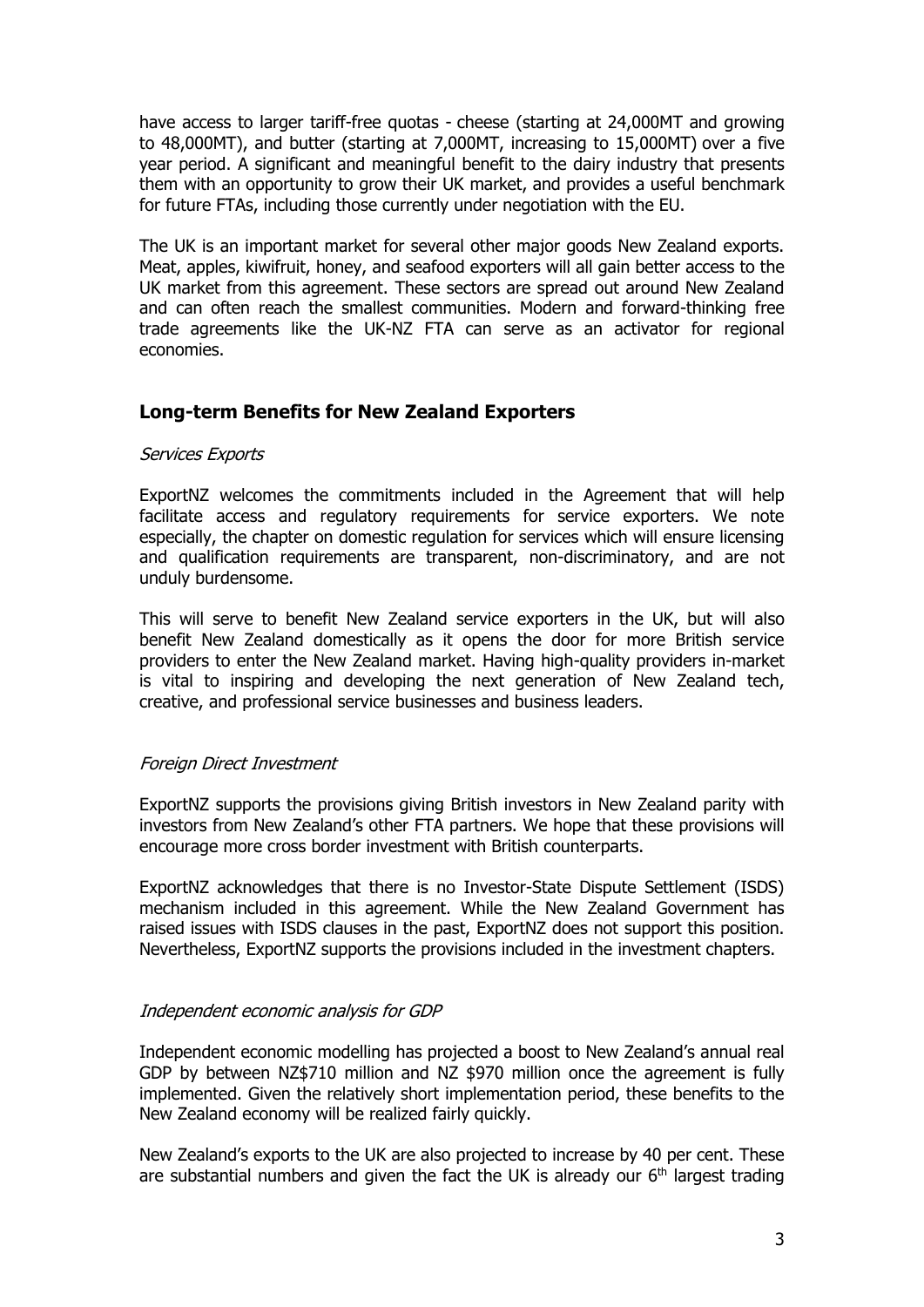have access to larger tariff-free quotas - cheese (starting at 24,000MT and growing to 48,000MT), and butter (starting at 7,000MT, increasing to 15,000MT) over a five year period. A significant and meaningful benefit to the dairy industry that presents them with an opportunity to grow their UK market, and provides a useful benchmark for future FTAs, including those currently under negotiation with the EU.

The UK is an important market for several other major goods New Zealand exports. Meat, apples, kiwifruit, honey, and seafood exporters will all gain better access to the UK market from this agreement. These sectors are spread out around New Zealand and can often reach the smallest communities. Modern and forward-thinking free trade agreements like the UK-NZ FTA can serve as an activator for regional economies.

# **Long-term Benefits for New Zealand Exporters**

#### Services Exports

ExportNZ welcomes the commitments included in the Agreement that will help facilitate access and regulatory requirements for service exporters. We note especially, the chapter on domestic regulation for services which will ensure licensing and qualification requirements are transparent, non-discriminatory, and are not unduly burdensome.

This will serve to benefit New Zealand service exporters in the UK, but will also benefit New Zealand domestically as it opens the door for more British service providers to enter the New Zealand market. Having high-quality providers in-market is vital to inspiring and developing the next generation of New Zealand tech, creative, and professional service businesses and business leaders.

# Foreign Direct Investment

ExportNZ supports the provisions giving British investors in New Zealand parity with investors from New Zealand's other FTA partners. We hope that these provisions will encourage more cross border investment with British counterparts.

ExportNZ acknowledges that there is no Investor-State Dispute Settlement (ISDS) mechanism included in this agreement. While the New Zealand Government has raised issues with ISDS clauses in the past, ExportNZ does not support this position. Nevertheless, ExportNZ supports the provisions included in the investment chapters.

# Independent economic analysis for GDP

Independent economic modelling has projected a boost to New Zealand's annual real GDP by between NZ\$710 million and NZ \$970 million once the agreement is fully implemented. Given the relatively short implementation period, these benefits to the New Zealand economy will be realized fairly quickly.

New Zealand's exports to the UK are also projected to increase by 40 per cent. These are substantial numbers and given the fact the UK is already our  $6<sup>th</sup>$  largest trading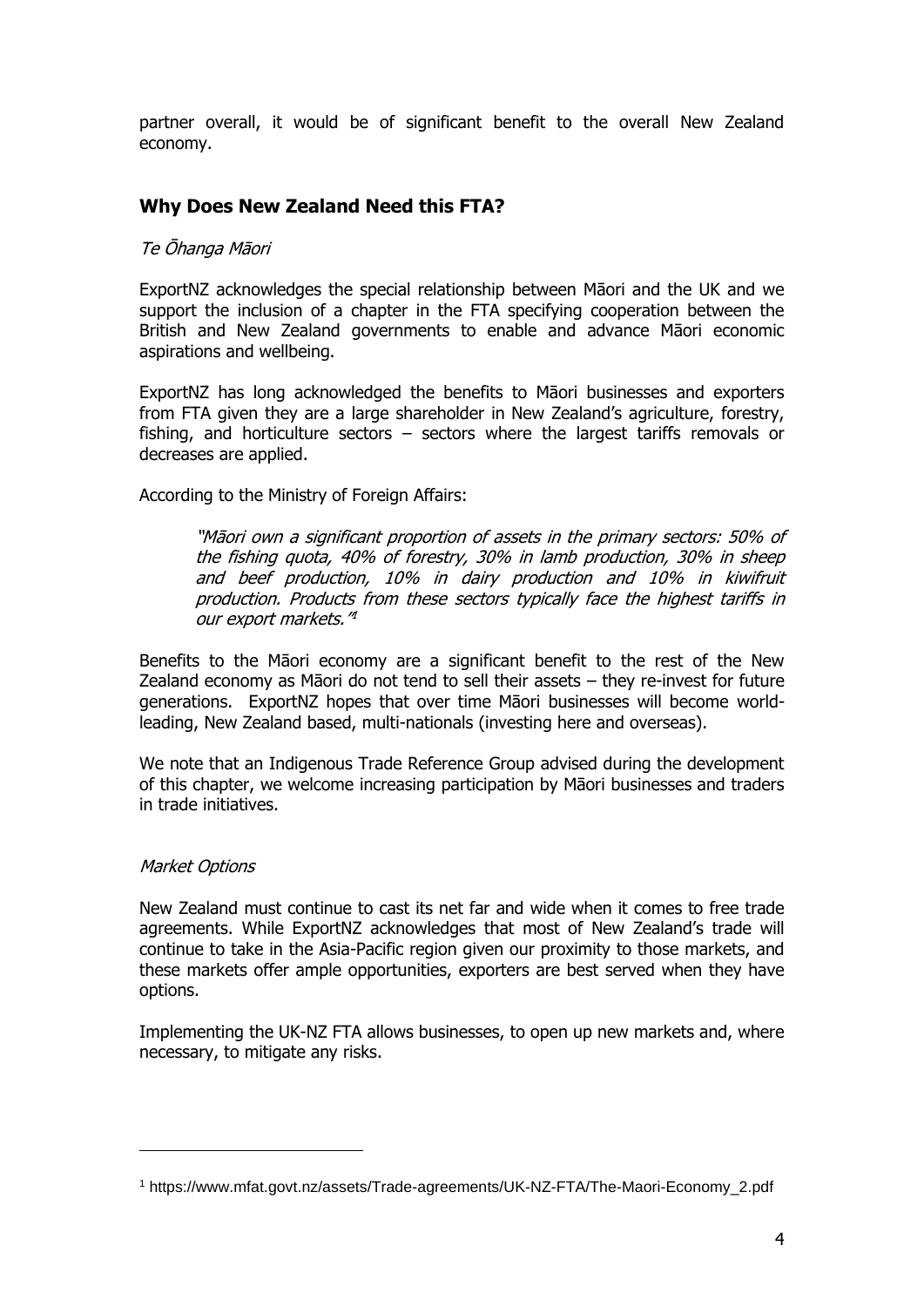partner overall, it would be of significant benefit to the overall New Zealand economy.

# **Why Does New Zealand Need this FTA?**

### Te Ōhanga Māori

ExportNZ acknowledges the special relationship between Māori and the UK and we support the inclusion of a chapter in the FTA specifying cooperation between the British and New Zealand governments to enable and advance Māori economic aspirations and wellbeing.

ExportNZ has long acknowledged the benefits to Māori businesses and exporters from FTA given they are a large shareholder in New Zealand's agriculture, forestry, fishing, and horticulture sectors – sectors where the largest tariffs removals or decreases are applied.

According to the Ministry of Foreign Affairs:

"Māori own a significant proportion of assets in the primary sectors: 50% of the fishing quota, 40% of forestry, 30% in lamb production, 30% in sheep and beef production, 10% in dairy production and 10% in kiwifruit production. Products from these sectors typically face the highest tariffs in our export markets."<sup>4</sup>

Benefits to the Māori economy are a significant benefit to the rest of the New Zealand economy as Māori do not tend to sell their assets – they re-invest for future generations. ExportNZ hopes that over time Māori businesses will become worldleading, New Zealand based, multi-nationals (investing here and overseas).

We note that an Indigenous Trade Reference Group advised during the development of this chapter, we welcome increasing participation by Māori businesses and traders in trade initiatives.

#### Market Options

New Zealand must continue to cast its net far and wide when it comes to free trade agreements. While ExportNZ acknowledges that most of New Zealand's trade will continue to take in the Asia-Pacific region given our proximity to those markets, and these markets offer ample opportunities, exporters are best served when they have options.

Implementing the UK-NZ FTA allows businesses, to open up new markets and, where necessary, to mitigate any risks.

<sup>1</sup> https://www.mfat.govt.nz/assets/Trade-agreements/UK-NZ-FTA/The-Maori-Economy\_2.pdf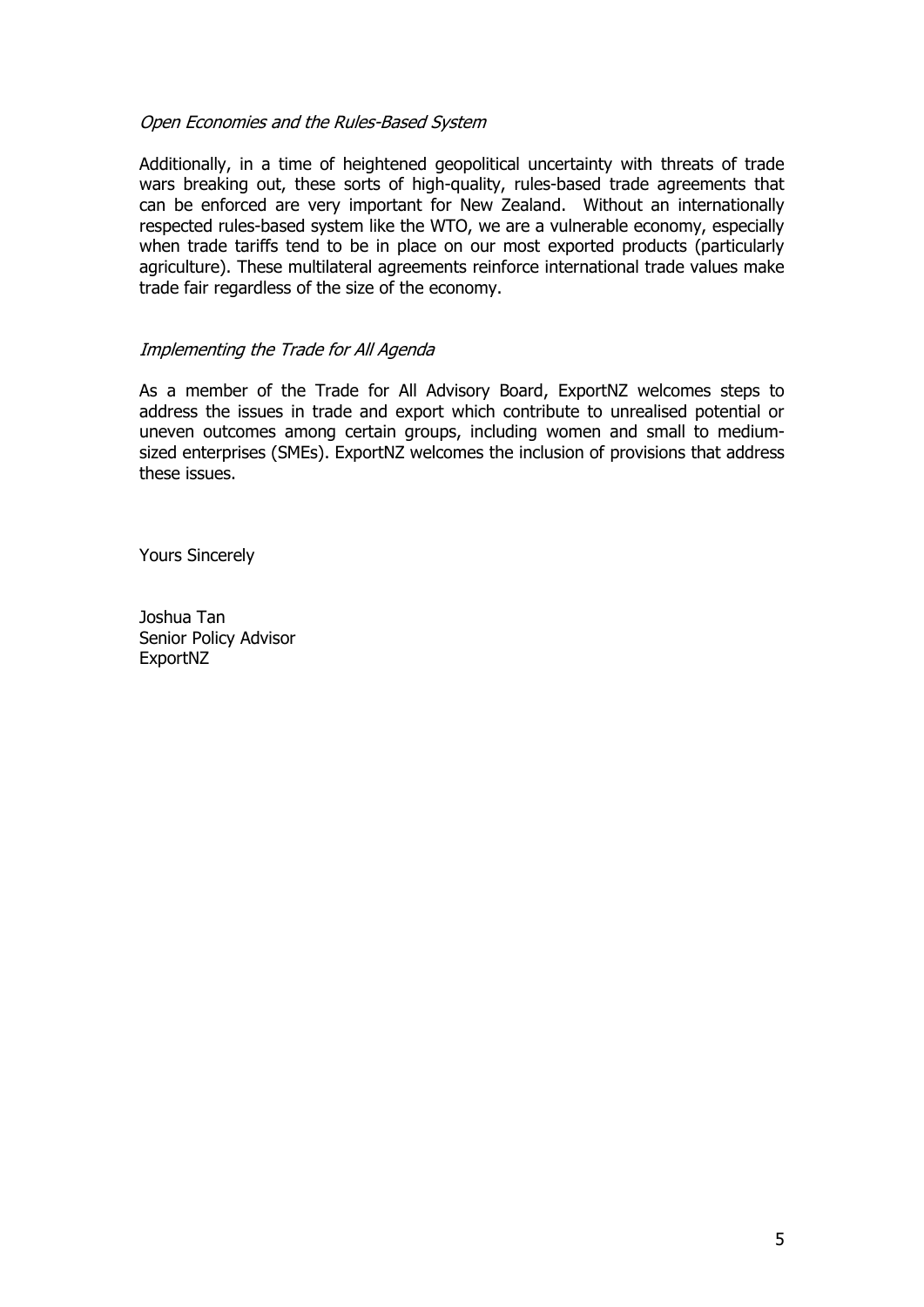### Open Economies and the Rules-Based System

Additionally, in a time of heightened geopolitical uncertainty with threats of trade wars breaking out, these sorts of high-quality, rules-based trade agreements that can be enforced are very important for New Zealand. Without an internationally respected rules-based system like the WTO, we are a vulnerable economy, especially when trade tariffs tend to be in place on our most exported products (particularly agriculture). These multilateral agreements reinforce international trade values make trade fair regardless of the size of the economy.

### Implementing the Trade for All Agenda

As a member of the Trade for All Advisory Board, ExportNZ welcomes steps to address the issues in trade and export which contribute to unrealised potential or uneven outcomes among certain groups, including women and small to mediumsized enterprises (SMEs). ExportNZ welcomes the inclusion of provisions that address these issues.

Yours Sincerely

Joshua Tan Senior Policy Advisor ExportNZ